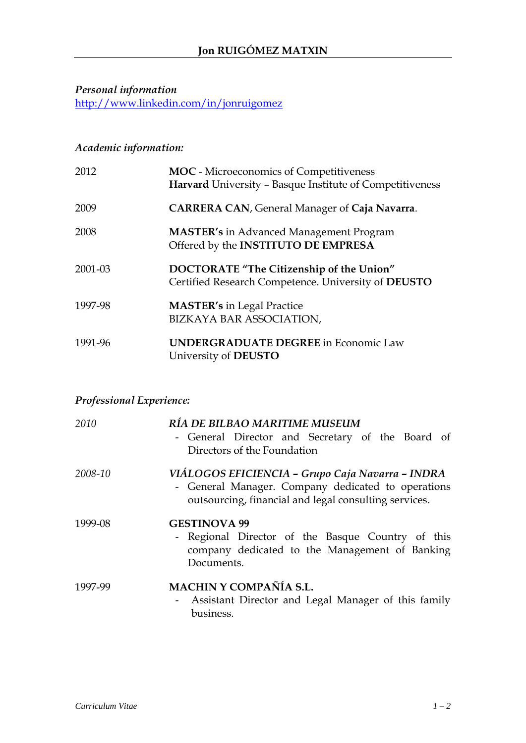# *Personal information*

<http://www.linkedin.com/in/jonruigomez>

## *Academic information:*

| 2012    | <b>MOC</b> - Microeconomics of Competitiveness<br>Harvard University - Basque Institute of Competitiveness |
|---------|------------------------------------------------------------------------------------------------------------|
| 2009    | <b>CARRERA CAN, General Manager of Caja Navarra.</b>                                                       |
| 2008    | <b>MASTER's in Advanced Management Program</b><br>Offered by the INSTITUTO DE EMPRESA                      |
| 2001-03 | DOCTORATE "The Citizenship of the Union"<br>Certified Research Competence. University of DEUSTO            |
| 1997-98 | <b>MASTER's in Legal Practice</b><br>BIZKAYA BAR ASSOCIATION,                                              |
| 1991-96 | <b>UNDERGRADUATE DEGREE</b> in Economic Law<br>University of DEUSTO                                        |

## *Professional Experience:*

| 2010    | RÍA DE BILBAO MARITIME MUSEUM<br>- General Director and Secretary of the Board of<br>Directors of the Foundation                                                |
|---------|-----------------------------------------------------------------------------------------------------------------------------------------------------------------|
| 2008-10 | VIÁLOGOS EFICIENCIA - Grupo Caja Navarra - INDRA<br>- General Manager. Company dedicated to operations<br>outsourcing, financial and legal consulting services. |
| 1999-08 | <b>GESTINOVA 99</b><br>- Regional Director of the Basque Country of this<br>company dedicated to the Management of Banking<br>Documents.                        |
| 1997-99 | MACHIN Y COMPAÑÍA S.L.<br>- Assistant Director and Legal Manager of this family<br>business.                                                                    |